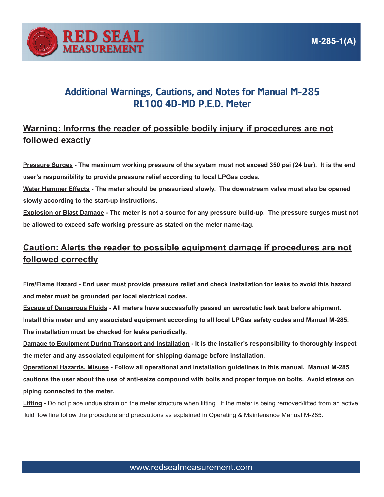

## Additional Warnings, Cautions, and Notes for Manual M-285 RL100 4D-MD P.E.D. Meter

## **Warning: Informs the reader of possible bodily injury if procedures are not followed exactly**

**Pressure Surges - The maximum working pressure of the system must not exceed 350 psi (24 bar). It is the end user's responsibility to provide pressure relief according to local LPGas codes.**

**Water Hammer Effects - The meter should be pressurized slowly. The downstream valve must also be opened slowly according to the start-up instructions.**

**Explosion or Blast Damage - The meter is not a source for any pressure build-up. The pressure surges must not be allowed to exceed safe working pressure as stated on the meter name-tag.**

## **Caution: Alerts the reader to possible equipment damage if procedures are not followed correctly**

**Fire/Flame Hazard - End user must provide pressure relief and check installation for leaks to avoid this hazard and meter must be grounded per local electrical codes.**

**Escape of Dangerous Fluids - All meters have successfully passed an aerostatic leak test before shipment. Install this meter and any associated equipment according to all local LPGas safety codes and Manual M-285. The installation must be checked for leaks periodically.** 

**Damage to Equipment During Transport and Installation - It is the installer's responsibility to thoroughly inspect the meter and any associated equipment for shipping damage before installation.** 

**Operational Hazards, Misuse - Follow all operational and installation guidelines in this manual. Manual M-285 cautions the user about the use of anti-seize compound with bolts and proper torque on bolts. Avoid stress on piping connected to the meter.** 

**Lifting -** Do not place undue strain on the meter structure when lifting. If the meter is being removed/lifted from an active fluid flow line follow the procedure and precautions as explained in Operating & Maintenance Manual M-285.